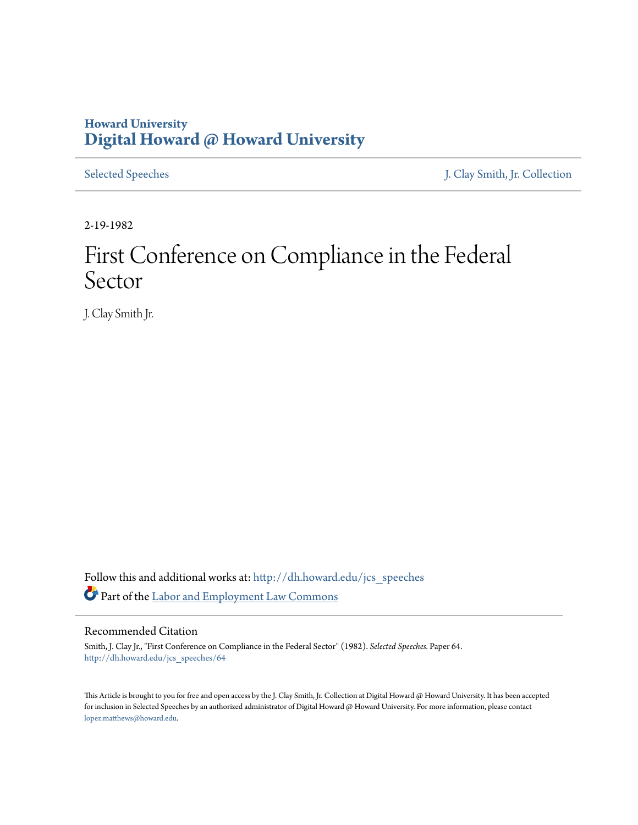## **Howard University [Digital Howard @ Howard University](http://dh.howard.edu?utm_source=dh.howard.edu%2Fjcs_speeches%2F64&utm_medium=PDF&utm_campaign=PDFCoverPages)**

[Selected Speeches](http://dh.howard.edu/jcs_speeches?utm_source=dh.howard.edu%2Fjcs_speeches%2F64&utm_medium=PDF&utm_campaign=PDFCoverPages) [J. Clay Smith, Jr. Collection](http://dh.howard.edu/jcsmith?utm_source=dh.howard.edu%2Fjcs_speeches%2F64&utm_medium=PDF&utm_campaign=PDFCoverPages)

2-19-1982

# First Conference on Compliance in the Federal Sector

J. Clay Smith Jr.

Follow this and additional works at: [http://dh.howard.edu/jcs\\_speeches](http://dh.howard.edu/jcs_speeches?utm_source=dh.howard.edu%2Fjcs_speeches%2F64&utm_medium=PDF&utm_campaign=PDFCoverPages) Part of the [Labor and Employment Law Commons](http://network.bepress.com/hgg/discipline/909?utm_source=dh.howard.edu%2Fjcs_speeches%2F64&utm_medium=PDF&utm_campaign=PDFCoverPages)

#### Recommended Citation

Smith, J. Clay Jr., "First Conference on Compliance in the Federal Sector" (1982). *Selected Speeches.* Paper 64. [http://dh.howard.edu/jcs\\_speeches/64](http://dh.howard.edu/jcs_speeches/64?utm_source=dh.howard.edu%2Fjcs_speeches%2F64&utm_medium=PDF&utm_campaign=PDFCoverPages)

This Article is brought to you for free and open access by the J. Clay Smith, Jr. Collection at Digital Howard @ Howard University. It has been accepted for inclusion in Selected Speeches by an authorized administrator of Digital Howard @ Howard University. For more information, please contact [lopez.matthews@howard.edu.](mailto:lopez.matthews@howard.edu)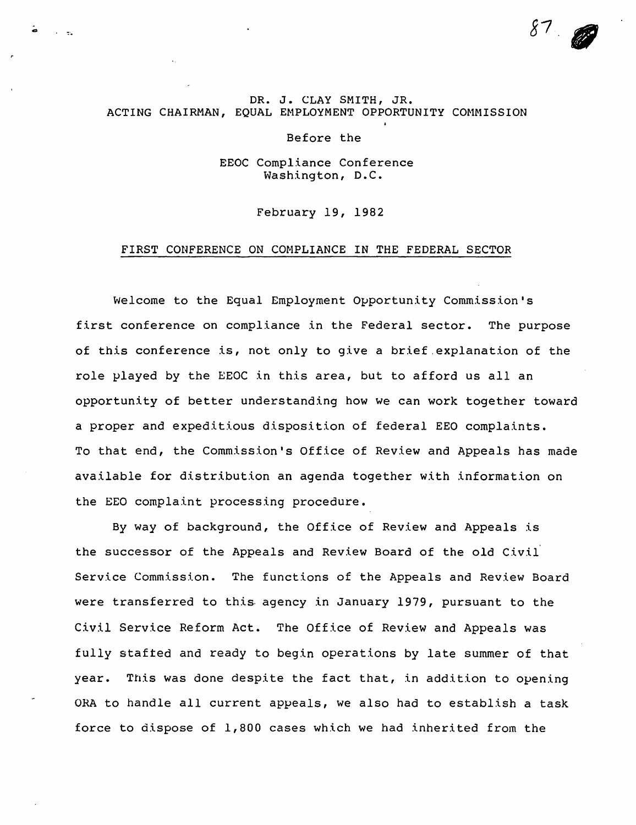### DR. J. CLAY SMITH, JR. ACTING CHAIRMAN, EQUAL EMPLOYMENT OPPORTUNITY COMMISSION

 $87.$ 

-  $\bullet$ 

Before the

EEOC Compliance Conference Washington, D.C.

February 19, 1982

#### FIRST CONFERENCE ON COMPLIANCE IN THE FEDERAL SECTOR

Welcome to the Equal Employment Opportunity Commission's first conference on compliance in the Federal sector. The purpose of this conference is, not only to give a brief.explanation of the role played by the EEOC in this area, but to afford us all an opportunity of better understanding how we can work together toward a proper and expeditious disposition of federal EEO complaints. To that end, the Commission's Office of Review and Appeals has made available for distribution an agenda together with information on the EEO complaint processing procedure.

By way of background, the Office of Review and Appeals is the successor of the Appeals and Review Board of the old Civil' Service Commission. The functions of the Appeals and Review Board were transferred to this. agency in January 1979, pursuant to the Civil Service Reform Act. The Office of Review and Appeals was fully stafted and ready to begin operations by late summer of that year. This was done despite the fact that, in addition to opening ORA to handle all current appeals, we also had to establish a task force to dispose of 1,800 cases which we had inherited from the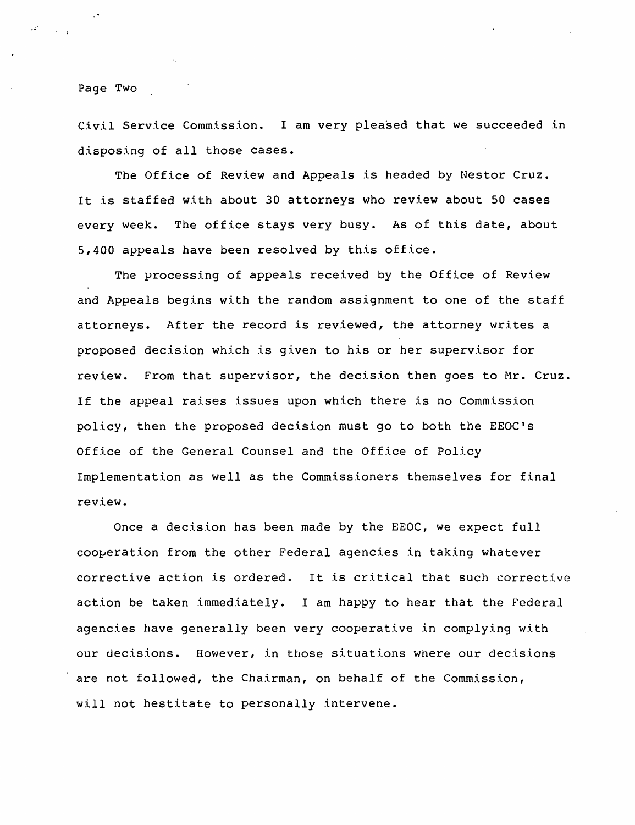Page Two

Civil Service Commission. I am very pleased that we succeeded in disposing of all those cases.

The Office of Review and Appeals is headed by Nestor Cruz. It is staffed with about 30 attorneys who review about 50 cases every week. The office stays very busy. As of this date, about 5,400 appeals have been resolved by this office.

The processing of appeals received by the Office of Review and Appeals begins with the random assignment to one of the staff attorneys. After the record is reviewed, the attorney writes a proposed decision which is given to his or her supervisor for review. From that supervisor, the decision then goes to Mr. Cruz. If the appeal raises issues upon which there is no Commission policy, then the proposed decision must go to both the EEOC's Office of the General Counsel and the Office of Policy Implementation as well as the Commissioners themselves for final review.

Once a decision has been made by the EEOC, we expect full cooperation from the other Federal agencies in taking whatever corrective action is ordered. It is critical that such corrective action be taken immediately. I am happy to hear that the Federal agencies have generally been very cooperative in complying with our decisions. However, in those situations where our decisions are not followed, the Chairman, on behalf of the Commission, will not hestitate to personally intervene.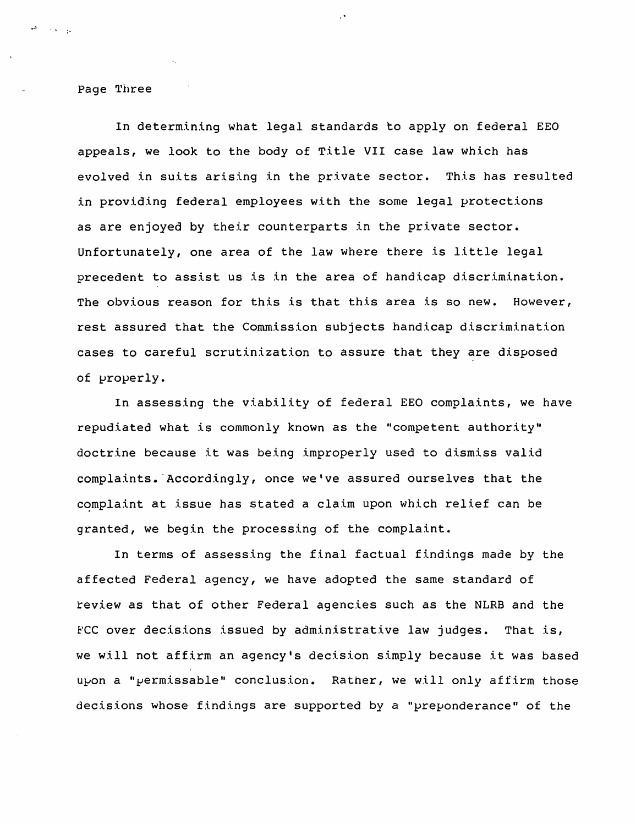Page Three

\_.t· '. *<sup>I</sup>*

In determining what legal standards to apply on federal EEO appeals, we look to the body of Title VII case law which has evolved in suits arising in the private sector. This has resulted in providing federal employees with the some legal protections as are enjoyed by their counterparts in the private sector. Unfortunately, one area of the law where there is little legal precedent to assist us is in the area of handicap discrimination. The obvious reason for this is that this area is so new. However, rest assured that the Commission subjects handicap discrimination cases to careful scrutinization to assure that they are disposed of properly.

In assessing the viability of federal EEO complaints, we have repudiated what is commonly known as the "competent authority" doctrine because it was being improperly used to dismiss valid complaints. Accordingly, once we've assured ourselves that the complaint at issue has stated a claim upon which relief can be granted, we begin the processing of the complaint.

In terms of assessing the final factual findings made by the affected Federal agency, we have adopted the same standard of review as that of other Federal agencies such as the NLRB and the FCC over decisions issued by administrative law judges. That is, we will not affirm an agency's decision simply because it was based upon a "permissable" conclusion. Rather, we will only affirm those decisions whose findings are supported by a "preponderance" of the